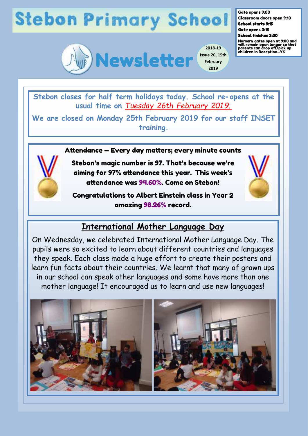# **Stebon Primary School**



**2018-19 Issue 20, 15th February 2019**

Gate opens 9:00 Classroom doors open 9:10

School starts 9:15 Gate opens 3:15

#### School finishes 3:30

Nursery gates open at 9:00 and will remain open longer so that parents can drop off/pick up children in Reception—Y6

**Stebon closes for half term holidays today. School re-opens at the usual time on** *Tuesday 26th February 201 9.* 

**We are closed on Monday 25th February 2019 for our staff INSET training.**

#### Attendance — Every day matters; every minute counts



Stebon's magic number is 97. That's because we're aiming for 97% attendance this year. This week's attendance was 94.60%. Come on Stebon!

Congratulations to Albert Einstein class in Year 2 amazing 98.26% record.

## **International Mother Language Day**

On Wednesday, we celebrated International Mother Language Day. The pupils were so excited to learn about different countries and languages they speak. Each class made a huge effort to create their posters and learn fun facts about their countries. We learnt that many of grown ups in our school can speak other languages and some have more than one mother language! It encouraged us to learn and use new languages!

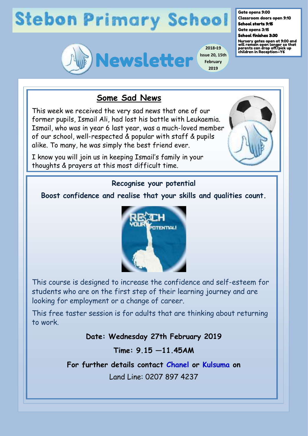# **Stebon Primary School**



**2018-19 Issue 20, 15th February 2019**

Gate opens 9:00

Classroom doors open 9:10 School starts 9:15

Gate opens 3:15 School finishes 3:30

Nursery gates open at 9:00 and will remain open longer so that parents can drop off/pick up children in Reception—Y6

## **Some Sad News**

This week we received the very sad news that one of our former pupils, Ismail Ali, had lost his battle with Leukaemia. Ismail, who was in year 6 last year, was a much-loved member of our school, well-respected & popular with staff & pupils alike. To many, he was simply the best friend ever.

I know you will join us in keeping Ismail's family in your thoughts & prayers at this most difficult time.



## **Recognise your potential**

### **Boost confidence and realise that your skills and qualities count.**



This course is designed to increase the confidence and self-esteem for students who are on the first step of their learning journey and are looking for employment or a change of career.

This free taster session is for adults that are thinking about returning to work.

### **Date: Wednesday 27th February 2019**

**Time: 9.15 —11.45AM** 

**For further details contact Chanel or Kulsuma on** 

Land Line: 0207 897 4237